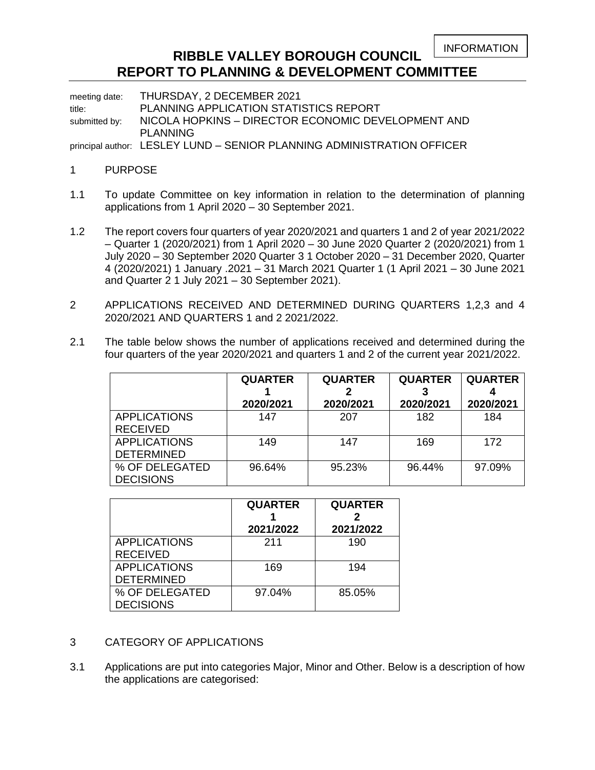INFORMATION

# **RIBBLE VALLEY BOROUGH COUNCIL REPORT TO PLANNING & DEVELOPMENT COMMITTEE**

meeting date: THURSDAY, 2 DECEMBER 2021 title: PLANNING APPLICATION STATISTICS REPORT submitted by: NICOLA HOPKINS - DIRECTOR ECONOMIC DEVELOPMENT AND PLANNING

principal author: LESLEY LUND – SENIOR PLANNING ADMINISTRATION OFFICER

# 1 PURPOSE

- 1.1 To update Committee on key information in relation to the determination of planning applications from 1 April 2020 – 30 September 2021.
- 1.2 The report covers four quarters of year 2020/2021 and quarters 1 and 2 of year 2021/2022 – Quarter 1 (2020/2021) from 1 April 2020 – 30 June 2020 Quarter 2 (2020/2021) from 1 July 2020 – 30 September 2020 Quarter 3 1 October 2020 – 31 December 2020, Quarter 4 (2020/2021) 1 January .2021 – 31 March 2021 Quarter 1 (1 April 2021 – 30 June 2021 and Quarter 2 1 July 2021 – 30 September 2021).
- 2 APPLICATIONS RECEIVED AND DETERMINED DURING QUARTERS 1,2,3 and 4 2020/2021 AND QUARTERS 1 and 2 2021/2022.
- 2.1 The table below shows the number of applications received and determined during the four quarters of the year 2020/2021 and quarters 1 and 2 of the current year 2021/2022.

|                     | <b>QUARTER</b> | <b>QUARTER</b> | <b>QUARTER</b> | <b>QUARTER</b> |
|---------------------|----------------|----------------|----------------|----------------|
|                     |                |                |                |                |
|                     | 2020/2021      | 2020/2021      | 2020/2021      | 2020/2021      |
| <b>APPLICATIONS</b> | 147            | 207            | 182            | 184            |
| <b>RECEIVED</b>     |                |                |                |                |
| <b>APPLICATIONS</b> | 149            | 147            | 169            | 172            |
| <b>DETERMINED</b>   |                |                |                |                |
| % OF DELEGATED      | 96.64%         | 95.23%         | 96.44%         | 97.09%         |
| <b>DECISIONS</b>    |                |                |                |                |

|                                          | <b>QUARTER</b><br>2021/2022 | <b>QUARTER</b><br>2021/2022 |  |
|------------------------------------------|-----------------------------|-----------------------------|--|
| <b>APPLICATIONS</b><br><b>RECEIVED</b>   | 211                         | 190                         |  |
| <b>APPLICATIONS</b><br><b>DETERMINED</b> | 169                         | 194                         |  |
| % OF DELEGATED<br><b>DECISIONS</b>       | 97.04%                      | 85.05%                      |  |

- 3 CATEGORY OF APPLICATIONS
- 3.1 Applications are put into categories Major, Minor and Other. Below is a description of how the applications are categorised: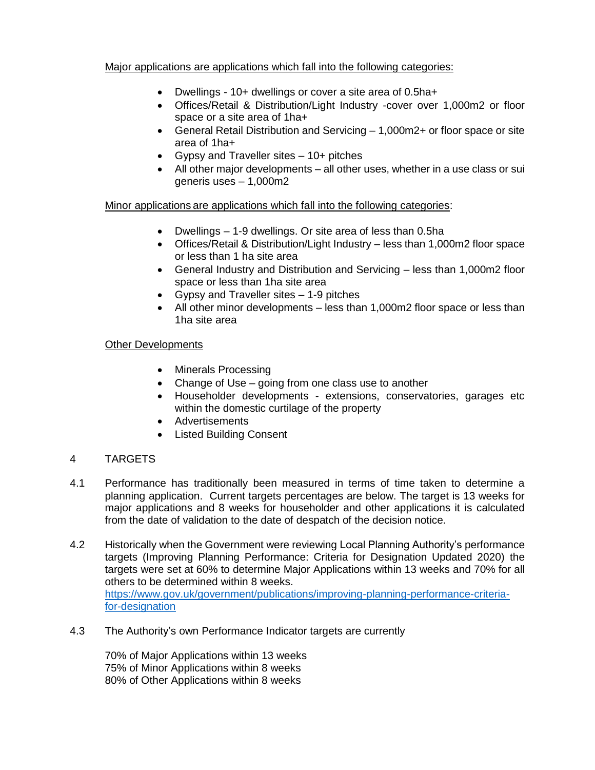# Major applications are applications which fall into the following categories:

- Dwellings 10+ dwellings or cover a site area of 0.5ha+
- Offices/Retail & Distribution/Light Industry -cover over 1,000m2 or floor space or a site area of 1ha+
- General Retail Distribution and Servicing 1,000m2+ or floor space or site area of 1ha+
- Gypsy and Traveller sites 10+ pitches
- All other major developments all other uses, whether in a use class or sui generis uses – 1,000m2

Minor applications are applications which fall into the following categories:

- Dwellings 1-9 dwellings. Or site area of less than 0.5ha
- Offices/Retail & Distribution/Light Industry less than 1,000m2 floor space or less than 1 ha site area
- General Industry and Distribution and Servicing less than 1,000m2 floor space or less than 1ha site area
- Gypsy and Traveller sites 1-9 pitches
- All other minor developments less than 1,000m2 floor space or less than 1ha site area

# Other Developments

- Minerals Processing
- Change of Use going from one class use to another
- Householder developments extensions, conservatories, garages etc within the domestic curtilage of the property
- Advertisements
- Listed Building Consent

# 4 TARGETS

- 4.1 Performance has traditionally been measured in terms of time taken to determine a planning application. Current targets percentages are below. The target is 13 weeks for major applications and 8 weeks for householder and other applications it is calculated from the date of validation to the date of despatch of the decision notice.
- 4.2 Historically when the Government were reviewing Local Planning Authority's performance targets (Improving Planning Performance: Criteria for Designation Updated 2020) the targets were set at 60% to determine Major Applications within 13 weeks and 70% for all others to be determined within 8 weeks. [https://www.gov.uk/government/publications/improving-planning-performance-criteria](https://www.gov.uk/government/publications/improving-planning-performance-criteria-for-designation)[for-designation](https://www.gov.uk/government/publications/improving-planning-performance-criteria-for-designation)
- 4.3 The Authority's own Performance Indicator targets are currently

70% of Major Applications within 13 weeks 75% of Minor Applications within 8 weeks 80% of Other Applications within 8 weeks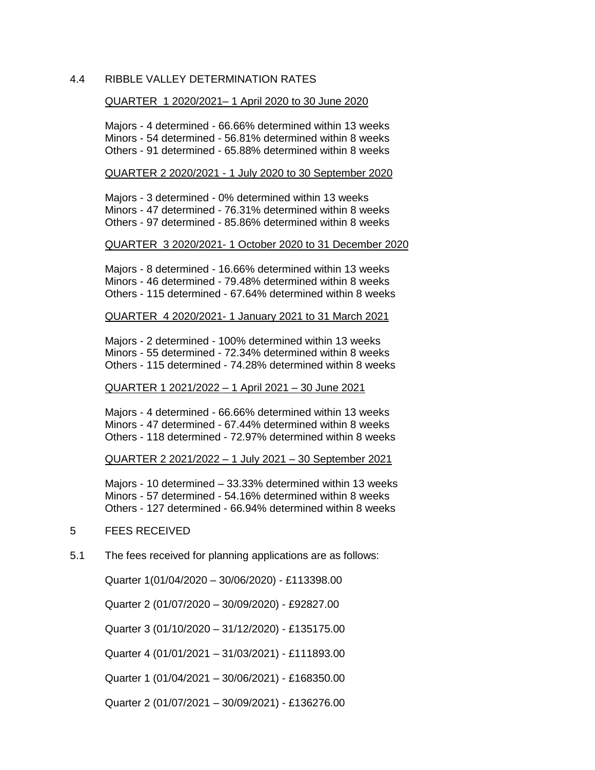### 4.4 RIBBLE VALLEY DETERMINATION RATES

#### QUARTER 1 2020/2021– 1 April 2020 to 30 June 2020

Majors - 4 determined - 66.66% determined within 13 weeks Minors - 54 determined - 56.81% determined within 8 weeks Others - 91 determined - 65.88% determined within 8 weeks

#### QUARTER 2 2020/2021 - 1 July 2020 to 30 September 2020

Majors - 3 determined - 0% determined within 13 weeks Minors - 47 determined - 76.31% determined within 8 weeks Others - 97 determined - 85.86% determined within 8 weeks

#### QUARTER 3 2020/2021- 1 October 2020 to 31 December 2020

Majors - 8 determined - 16.66% determined within 13 weeks Minors - 46 determined - 79.48% determined within 8 weeks Others - 115 determined - 67.64% determined within 8 weeks

#### QUARTER 4 2020/2021- 1 January 2021 to 31 March 2021

Majors - 2 determined - 100% determined within 13 weeks Minors - 55 determined - 72.34% determined within 8 weeks Others - 115 determined - 74.28% determined within 8 weeks

#### QUARTER 1 2021/2022 – 1 April 2021 – 30 June 2021

Majors - 4 determined - 66.66% determined within 13 weeks Minors - 47 determined - 67.44% determined within 8 weeks Others - 118 determined - 72.97% determined within 8 weeks

QUARTER 2 2021/2022 – 1 July 2021 – 30 September 2021

Majors - 10 determined – 33.33% determined within 13 weeks Minors - 57 determined - 54.16% determined within 8 weeks Others - 127 determined - 66.94% determined within 8 weeks

### 5 FEES RECEIVED

5.1 The fees received for planning applications are as follows:

Quarter 1(01/04/2020 – 30/06/2020) - £113398.00

Quarter 2 (01/07/2020 – 30/09/2020) - £92827.00

Quarter 3 (01/10/2020 – 31/12/2020) - £135175.00

Quarter 4 (01/01/2021 – 31/03/2021) - £111893.00

Quarter 1 (01/04/2021 – 30/06/2021) - £168350.00

Quarter 2 (01/07/2021 – 30/09/2021) - £136276.00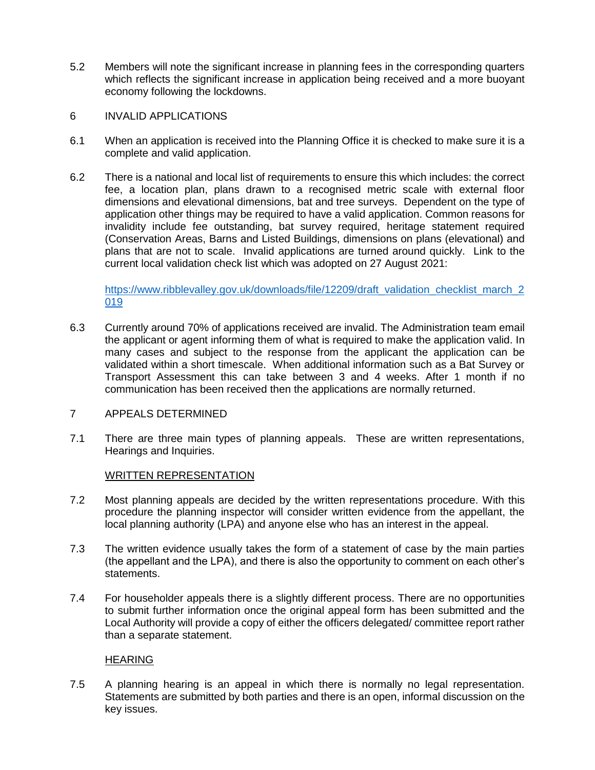- 5.2 Members will note the significant increase in planning fees in the corresponding quarters which reflects the significant increase in application being received and a more buoyant economy following the lockdowns.
- 6 INVALID APPLICATIONS
- 6.1 When an application is received into the Planning Office it is checked to make sure it is a complete and valid application.
- 6.2 There is a national and local list of requirements to ensure this which includes: the correct fee, a location plan, plans drawn to a recognised metric scale with external floor dimensions and elevational dimensions, bat and tree surveys. Dependent on the type of application other things may be required to have a valid application. Common reasons for invalidity include fee outstanding, bat survey required, heritage statement required (Conservation Areas, Barns and Listed Buildings, dimensions on plans (elevational) and plans that are not to scale. Invalid applications are turned around quickly. Link to the current local validation check list which was adopted on 27 August 2021:

[https://www.ribblevalley.gov.uk/downloads/file/12209/draft\\_validation\\_checklist\\_march\\_2](https://www.ribblevalley.gov.uk/downloads/file/12209/draft_validation_checklist_march_2019) [019](https://www.ribblevalley.gov.uk/downloads/file/12209/draft_validation_checklist_march_2019) 

- 6.3 Currently around 70% of applications received are invalid. The Administration team email the applicant or agent informing them of what is required to make the application valid. In many cases and subject to the response from the applicant the application can be validated within a short timescale. When additional information such as a Bat Survey or Transport Assessment this can take between 3 and 4 weeks. After 1 month if no communication has been received then the applications are normally returned.
- 7 APPEALS DETERMINED
- 7.1 There are three main types of planning appeals. These are written representations, Hearings and Inquiries.

# WRITTEN REPRESENTATION

- 7.2 Most planning appeals are decided by the written representations procedure. With this procedure the planning inspector will consider written evidence from the appellant, the local planning authority (LPA) and anyone else who has an interest in the appeal.
- 7.3 The written evidence usually takes the form of a statement of case by the main parties (the appellant and the LPA), and there is also the opportunity to comment on each other's statements.
- 7.4 For householder appeals there is a slightly different process. There are no opportunities to submit further information once the original appeal form has been submitted and the Local Authority will provide a copy of either the officers delegated/ committee report rather than a separate statement.

# HEARING

7.5 A planning hearing is an appeal in which there is normally no legal representation. Statements are submitted by both parties and there is an open, informal discussion on the key issues.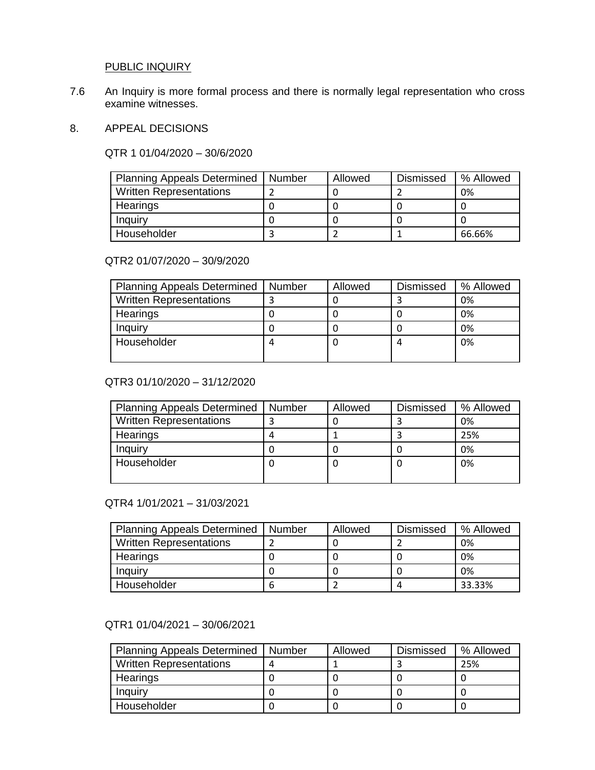# PUBLIC INQUIRY

7.6 An Inquiry is more formal process and there is normally legal representation who cross examine witnesses.

### 8. APPEAL DECISIONS

QTR 1 01/04/2020 – 30/6/2020

| <b>Planning Appeals Determined</b> | Number | Allowed | <b>Dismissed</b> | % Allowed |
|------------------------------------|--------|---------|------------------|-----------|
| <b>Written Representations</b>     |        |         |                  | 0%        |
| Hearings                           |        |         |                  |           |
| Inquiry                            |        |         |                  |           |
| Householder                        |        |         |                  | 66.66%    |

### QTR2 01/07/2020 – 30/9/2020

| <b>Planning Appeals Determined</b> | Number | Allowed | <b>Dismissed</b> | % Allowed |
|------------------------------------|--------|---------|------------------|-----------|
| <b>Written Representations</b>     |        |         |                  | 0%        |
| Hearings                           |        |         |                  | 0%        |
| Inquiry                            |        |         |                  | 0%        |
| Householder                        |        |         | 4                | 0%        |
|                                    |        |         |                  |           |

# QTR3 01/10/2020 – 31/12/2020

| <b>Planning Appeals Determined</b> | Number | Allowed | <b>Dismissed</b> | % Allowed |
|------------------------------------|--------|---------|------------------|-----------|
| <b>Written Representations</b>     |        |         |                  | 0%        |
| Hearings                           |        |         |                  | 25%       |
| Inquiry                            |        |         |                  | 0%        |
| Householder                        |        |         | U                | 0%        |
|                                    |        |         |                  |           |

### QTR4 1/01/2021 – 31/03/2021

| <b>Planning Appeals Determined</b> | Number | Allowed | <b>Dismissed</b> | % Allowed |
|------------------------------------|--------|---------|------------------|-----------|
| <b>Written Representations</b>     |        |         |                  | 0%        |
| Hearings                           |        |         |                  | 0%        |
| Inquiry                            |        |         |                  | 0%        |
| Householder                        | n      |         |                  | 33.33%    |

# QTR1 01/04/2021 – 30/06/2021

| Planning Appeals Determined   Number | Allowed | <b>Dismissed</b> | % Allowed |
|--------------------------------------|---------|------------------|-----------|
| <b>Written Representations</b>       |         |                  | 25%       |
| Hearings                             |         |                  |           |
| <b>Inquiry</b>                       |         |                  |           |
| Householder                          |         |                  |           |